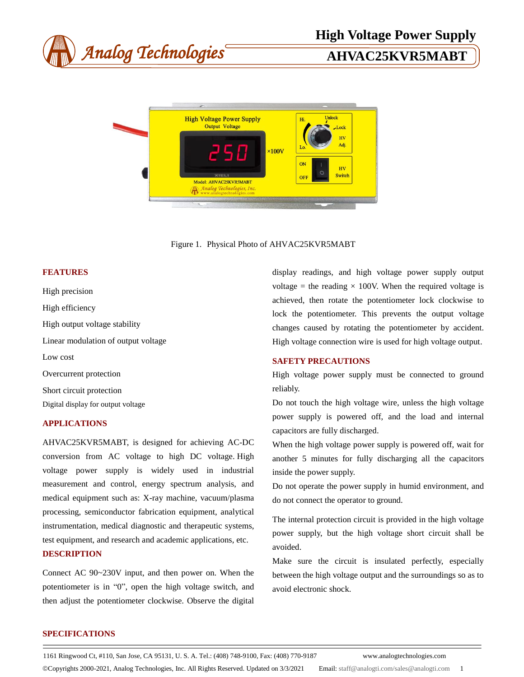

Figure 1. Physical Photo of AHVAC25KVR5MABT

### **FEATURES**

High precision High efficiency High output voltage stability Linear modulation of output voltage Low cost Overcurrent protection Short circuit protection Digital display for output voltage

# **APPLICATIONS**

AHVAC25KVR5MABT, is designed for achieving AC-DC conversion from AC voltage to high DC voltage. High voltage power supply is widely used in industrial measurement and control, energy spectrum analysis, and medical equipment such as: X-ray machine, vacuum/plasma processing, semiconductor fabrication equipment, analytical instrumentation, medical diagnostic and therapeutic systems, test equipment, and research and academic applications, etc. **DESCRIPTION**

Connect AC 90~230V input, and then power on. When the potentiometer is in "0", open the high voltage switch, and then adjust the potentiometer clockwise. Observe the digital

display readings, and high voltage power supply output voltage = the reading  $\times$  100V. When the required voltage is achieved, then rotate the potentiometer lock clockwise to lock the potentiometer. This prevents the output voltage changes caused by rotating the potentiometer by accident. High voltage connection wire is used for high voltage output.

# **SAFETY PRECAUTIONS**

High voltage power supply must be connected to ground reliably.

Do not touch the high voltage wire, unless the high voltage power supply is powered off, and the load and internal capacitors are fully discharged.

When the high voltage power supply is powered off, wait for another 5 minutes for fully discharging all the capacitors inside the power supply.

Do not operate the power supply in humid environment, and do not connect the operator to ground.

The internal protection circuit is provided in the high voltage power supply, but the high voltage short circuit shall be avoided.

Make sure the circuit is insulated perfectly, especially between the high voltage output and the surroundings so as to avoid electronic shock.

## **SPECIFICATIONS**

1161 Ringwood Ct, #110, San Jose, CA 95131, U. S. A. Tel.: (408) 748-9100, Fax: (408) 770-9187 www.analogtechnologies.com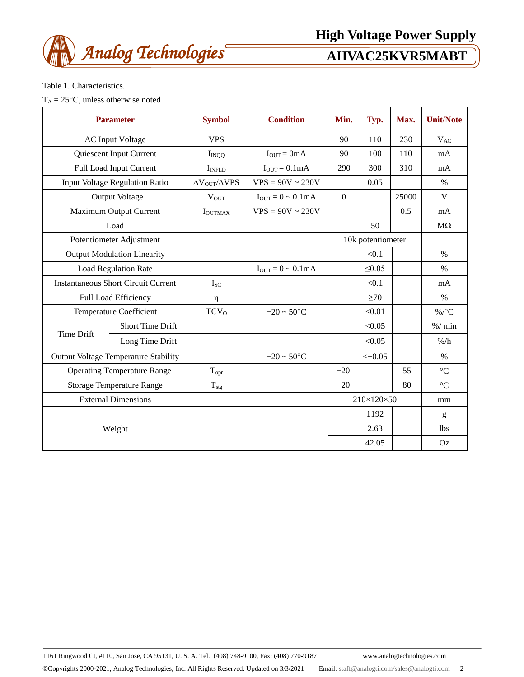

# **High Voltage Power Supply**

Table 1. Characteristics.

 $T_A = 25 \text{ °C}$ , unless otherwise noted

| <b>Parameter</b>                            |                         | <b>Symbol</b>                   | <b>Condition</b>                 | Min.                   | Typ.         | Max.  | <b>Unit/Note</b> |
|---------------------------------------------|-------------------------|---------------------------------|----------------------------------|------------------------|--------------|-------|------------------|
| <b>AC Input Voltage</b>                     |                         | <b>VPS</b>                      |                                  | 90                     | 110          | 230   | $V_{AC}$         |
|                                             | Quiescent Input Current | $I_{INQQ}$                      | $I_{OUT} = 0mA$                  | 90                     | 100          | 110   | mA               |
|                                             | Full Load Input Current | I <sub>INFLD</sub>              | $I_{OUT} = 0.1mA$                | 290                    | 300          | 310   | mA               |
| <b>Input Voltage Regulation Ratio</b>       |                         | $\Delta V_{\rm OUT}/\Delta VPS$ | $VPS = 90V \sim 230V$            |                        | 0.05         |       | $\%$             |
| Output Voltage                              |                         | $V_{OUT}$                       | $I_{OUT} = 0 \sim 0.1 \text{mA}$ | $\Omega$               |              | 25000 | V                |
| Maximum Output Current                      |                         | <b>IOUTMAX</b>                  | $VPS = 90V \sim 230V$            |                        |              | 0.5   | mA               |
| Load                                        |                         |                                 |                                  |                        | 50           |       | $M\Omega$        |
| Potentiometer Adjustment                    |                         |                                 |                                  | 10k potentiometer      |              |       |                  |
| <b>Output Modulation Linearity</b>          |                         |                                 |                                  |                        | < 0.1        |       | $\%$             |
| <b>Load Regulation Rate</b>                 |                         |                                 | $I_{OUT} = 0 \sim 0.1 mA$        |                        | $\leq 0.05$  |       | $\%$             |
| <b>Instantaneous Short Circuit Current</b>  |                         | $I_{SC}$                        |                                  |                        | < 0.1        |       | mA               |
| Full Load Efficiency                        |                         | η                               |                                  |                        | $\geq 70$    |       | $\%$             |
| <b>Temperature Coefficient</b>              |                         | TCV <sub>0</sub>                | $-20 \sim 50^{\circ}C$           |                        | < 0.01       |       | $\%$ /°C         |
| <b>Time Drift</b>                           | <b>Short Time Drift</b> |                                 |                                  |                        | < 0.05       |       | % / min          |
|                                             | Long Time Drift         |                                 |                                  |                        | < 0.05       |       | $\%$ /h          |
| <b>Output Voltage Temperature Stability</b> |                         |                                 | $-20 \sim 50^{\circ}C$           |                        | $< \pm 0.05$ |       | $\%$             |
| <b>Operating Temperature Range</b>          |                         | $T_{\text{opr}}$                |                                  | $-20$                  |              | 55    | $\rm ^{\circ}C$  |
| <b>Storage Temperature Range</b>            |                         | $T_{\rm stg}$                   |                                  | $-20$                  |              | 80    | $\rm ^{\circ}C$  |
| <b>External Dimensions</b>                  |                         |                                 |                                  | $210\times120\times50$ |              | mm    |                  |
| Weight                                      |                         |                                 |                                  |                        | 1192         |       | g                |
|                                             |                         |                                 |                                  |                        | 2.63         |       | 1 <sub>bs</sub>  |
|                                             |                         |                                 |                                  |                        | 42.05        |       | Oz               |

1161 Ringwood Ct, #110, San Jose, CA 95131, U. S. A. Tel.: (408) 748-9100, Fax: (408) 770-9187 www.analogtechnologies.com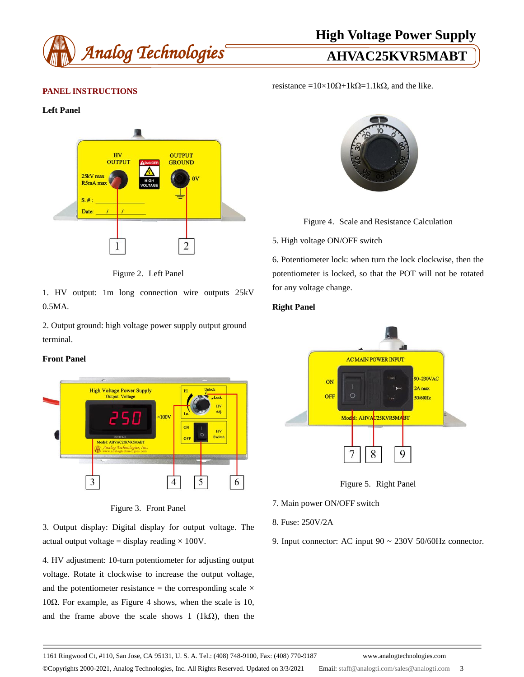

# **High Voltage Power Supply**

resistance =10×10 $\Omega$ +1k $\Omega$ =1.1k $\Omega$ , and the like.

# **PANEL INSTRUCTIONS**

### **Left Panel**



Figure 2. Left Panel

1. HV output: 1m long connection wire outputs 25kV 0.5MA.

2. Output ground: high voltage power supply output ground terminal.

### **Front Panel**



Figure 3. Front Panel

3. Output display: Digital display for output voltage. The actual output voltage = display reading  $\times 100V$ .

4. HV adjustment: 10-turn potentiometer for adjusting output voltage. Rotate it clockwise to increase the output voltage, and the potentiometer resistance = the corresponding scale  $\times$ 10Ω. For example, as Figure 4 shows, when the scale is 10, and the frame above the scale shows 1 (1k $\Omega$ ), then the



Figure 4. Scale and Resistance Calculation

### 5. High voltage ON/OFF switch

6. Potentiometer lock: when turn the lock clockwise, then the potentiometer is locked, so that the POT will not be rotated for any voltage change.

### **Right Panel**



Figure 5. Right Panel

- 7. Main power ON/OFF switch
- 8. Fuse: 250V/2A
- 9. Input connector: AC input 90 ~ 230V 50/60Hz connector.

1161 Ringwood Ct, #110, San Jose, CA 95131, U. S. A. Tel.: (408) 748-9100, Fax: (408) 770-9187 www.analogtechnologies.com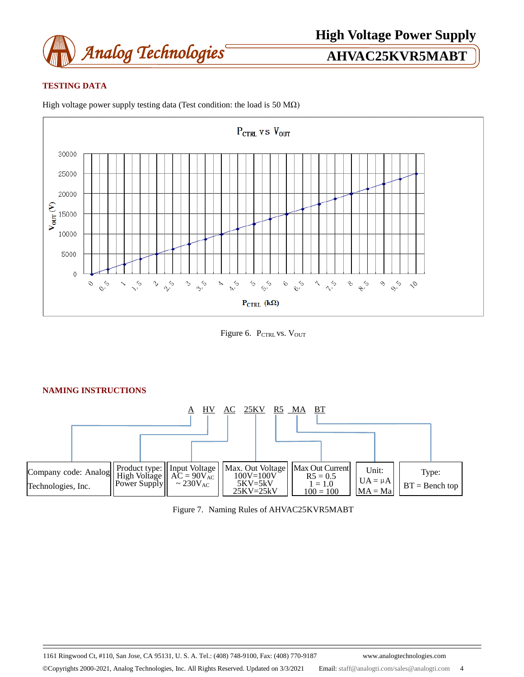

# **TESTING DATA**



High voltage power supply testing data (Test condition: the load is 50 M $\Omega$ )

Figure 6. PCTRL VS. VOUT



# Figure 7. Naming Rules of AHVAC25KVR5MABT

1161 Ringwood Ct, #110, San Jose, CA 95131, U. S. A. Tel.: (408) 748-9100, Fax: (408) 770-9187 www.analogtechnologies.com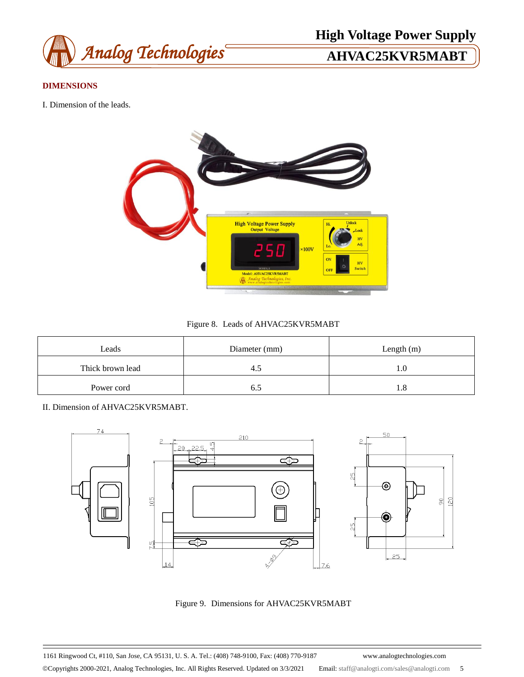

# **DIMENSIONS**

I. Dimension of the leads.



# Figure 8. Leads of AHVAC25KVR5MABT

| Leads            | Diameter (mm) | Length $(m)$ |  |  |
|------------------|---------------|--------------|--|--|
| Thick brown lead |               | 1.0          |  |  |
| Power cord       |               | 1.8          |  |  |

II. Dimension of AHVAC25KVR5MABT.